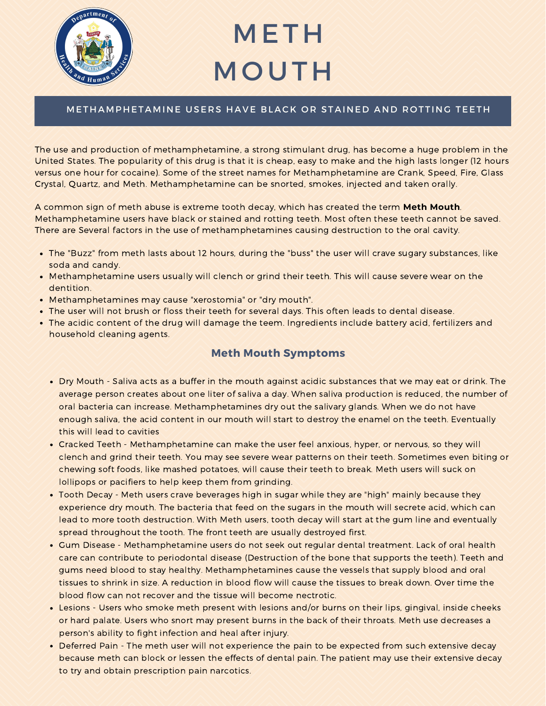

# METH **MOUTH**

### METHAMPHETAMINE USERS HAVE BLACK OR STAINED AND ROTTING TEETH

The use and production of methamphetamine, a strong stimulant drug, has become a huge problem in the United States. The popularity of this drug is that it is cheap, easy to make and the high lasts longer (12 hours versus one hour for cocaine). Some of the street names for Methamphetamine are Crank, Speed, Fire, Glass Crystal, Quartz, and Meth. Methamphetamine can be snorted, smokes, injected and taken orally.

A common sign of meth abuse is extreme tooth decay, which has created the term **Meth Mouth**. Methamphetamine users have black or stained and rotting teeth. Most often these teeth cannot be saved. There are Several factors in the use of methamphetamines causing destruction to the oral cavity.

- The "Buzz" from meth lasts about 12 hours, during the "buss" the user will crave sugary substances, like soda and candy.
- Methamphetamine users usually will clench or grind their teeth. This will cause severe wear on the dentition.
- Methamphetamines may cause "xerostomia" or "dry mouth".
- The user will not brush or floss their teeth for several days. This often leads to dental disease.
- The acidic content of the drug will damage the teem. Ingredients include battery acid, fertilizers and household cleaning agents.

### **Meth Mouth Symptoms**

- Dry Mouth Saliva acts as a buffer in the mouth against acidic substances that we may eat or drink. The average person creates about one liter of saliva a day. When saliva production is reduced, the number of oral bacteria can increase. Methamphetamines dry out the salivary glands. When we do not have enough saliva, the acid content in our mouth will start to destroy the enamel on the teeth. Eventually this will lead to cavities
- Cracked Teeth Methamphetamine can make the user feel anxious, hyper, or nervous, so they will clench and grind their teeth. You may see severe wear patterns on their teeth. Sometimes even biting or chewing soft foods, like mashed potatoes, will cause their teeth to break. Meth users will suck on lollipops or pacifiers to help keep them from grinding.
- Tooth Decay Meth users crave beverages high in sugar while they are "high" mainly because they experience dry mouth. The bacteria that feed on the sugars in the mouth will secrete acid, which can lead to more tooth destruction. With Meth users, tooth decay will start at the gum line and eventually spread throughout the tooth. The front teeth are usually destroyed first.
- Gum Disease Methamphetamine users do not seek out regular dental treatment. Lack of oral health care can contribute to periodontal disease (Destruction of the bone that supports the teeth). Teeth and gums need blood to stay healthy. Methamphetamines cause the vessels that supply blood and oral tissues to shrink in size. A reduction in blood flow will cause the tissues to break down. Over time the blood flow can not recover and the tissue will become nectrotic.
- Lesions Users who smoke meth present with lesions and/or burns on their lips, gingival, inside cheeks or hard palate. Users who snort may present burns in the back of their throats. Meth use decreases a person's ability to fight infection and heal after injury.
- Deferred Pain The meth user will not experience the pain to be expected from such extensive decay because meth can block or lessen the effects of dental pain. The patient may use their extensive decay to try and obtain prescription pain narcotics.